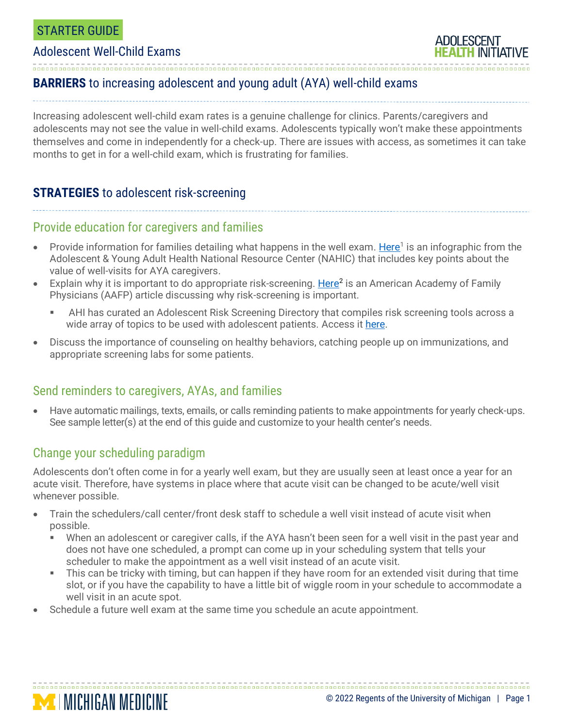### STARTER GUIDE

#### Adolescent Well-Child Exams

## **BARRIERS** to increasing adolescent and young adult (AYA) well-child exams

Increasing adolescent well-child exam rates is a genuine challenge for clinics. Parents/caregivers and adolescents may not see the value in well-child exams. Adolescents typically won't make these appointments themselves and come in independently for a check-up. There are issues with access, as sometimes it can take months to get in for a well-child exam, which is frustrating for families.

### **STRATEGIES** to adolescent risk-screening

#### Provide education for caregivers and families

- Provide information for families detailing what happens in the well exam. [Here](http://nahic.ucsf.edu/wp-content/uploads/2018/01/Full-customizable-package.pdf)<sup>1</sup> is an infographic from the Adolescent & Young Adult Health National Resource Center (NAHIC) that includes key points about the value of well-visits for AYA caregivers.
- Explain why it is important to do appropriate risk-screening. [Here](http://www.aafp.org/afp/2012/1215/p1109.html)<sup>2</sup> is an American Academy of Family Physicians (AAFP) article discussing why risk-screening is important.
	- AHI has curated an Adolescent Risk Screening Directory that compiles risk screening tools across a wide array of topics to be used with adolescent patients. Access it [here.](https://docs.google.com/spreadsheets/d/1xzQAUb-SkqXCDYyfBbihd7MmV1PEGdTubx1hqyz5N1U/edit?usp=sharing)
- Discuss the importance of counseling on healthy behaviors, catching people up on immunizations, and appropriate screening labs for some patients.

#### Send reminders to caregivers, AYAs, and families

• Have automatic mailings, texts, emails, or calls reminding patients to make appointments for yearly check-ups. See sample letter(s) at the end of this guide and customize to your health center's needs.

## Change your scheduling paradigm

**MINICHIGAN MEDICINE** 

Adolescents don't often come in for a yearly well exam, but they are usually seen at least once a year for an acute visit. Therefore, have systems in place where that acute visit can be changed to be acute/well visit whenever possible.

- Train the schedulers/call center/front desk staff to schedule a well visit instead of acute visit when possible.
	- When an adolescent or caregiver calls, if the AYA hasn't been seen for a well visit in the past year and does not have one scheduled, a prompt can come up in your scheduling system that tells your scheduler to make the appointment as a well visit instead of an acute visit.
	- This can be tricky with timing, but can happen if they have room for an extended visit during that time slot, or if you have the capability to have a little bit of wiggle room in your schedule to accommodate a well visit in an acute spot.

• Schedule a future well exam at the same time you schedule an acute appointment.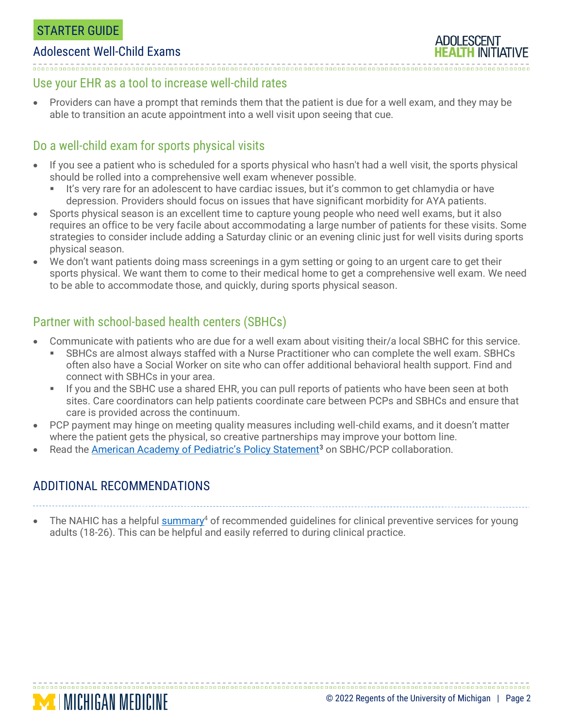### STARTER GUIDE

#### Adolescent Well-Child Exams

### Use your EHR as a tool to increase well-child rates

• Providers can have a prompt that reminds them that the patient is due for a well exam, and they may be able to transition an acute appointment into a well visit upon seeing that cue.

## Do a well-child exam for sports physical visits

- If you see a patient who is scheduled for a sports physical who hasn't had a well visit, the sports physical should be rolled into a comprehensive well exam whenever possible.
	- It's very rare for an adolescent to have cardiac issues, but it's common to get chlamydia or have depression. Providers should focus on issues that have significant morbidity for AYA patients.
- Sports physical season is an excellent time to capture young people who need well exams, but it also requires an office to be very facile about accommodating a large number of patients for these visits. Some strategies to consider include adding a Saturday clinic or an evening clinic just for well visits during sports physical season.
- We don't want patients doing mass screenings in a gym setting or going to an urgent care to get their sports physical. We want them to come to their medical home to get a comprehensive well exam. We need to be able to accommodate those, and quickly, during sports physical season.

# Partner with school-based health centers (SBHCs)

- Communicate with patients who are due for a well exam about visiting their/a local SBHC for this service.
	- SBHCs are almost always staffed with a Nurse Practitioner who can complete the well exam. SBHCs often also have a Social Worker on site who can offer additional behavioral health support. Find and connect with SBHCs in your area.
	- If you and the SBHC use a shared EHR, you can pull reports of patients who have been seen at both sites. Care coordinators can help patients coordinate care between PCPs and SBHCs and ensure that care is provided across the continuum.
- PCP payment may hinge on meeting quality measures including well-child exams, and it doesn't matter where the patient gets the physical, so creative partnerships may improve your bottom line.
- Read the [American Academy of Pediatric](http://pediatrics.aappublications.org/content/129/2/387)'s Policy Statement<sup>3</sup> on SBHC/PCP collaboration.

## ADDITIONAL RECOMMENDATIONS

**MINICHIGAN MEDICINE** 

The NAHIC has a helpful [summary](http://nahic.ucsf.edu/yaguidelines/)<sup>4</sup> of recommended guidelines for clinical preventive services for young adults (18-26). This can be helpful and easily referred to during clinical practice.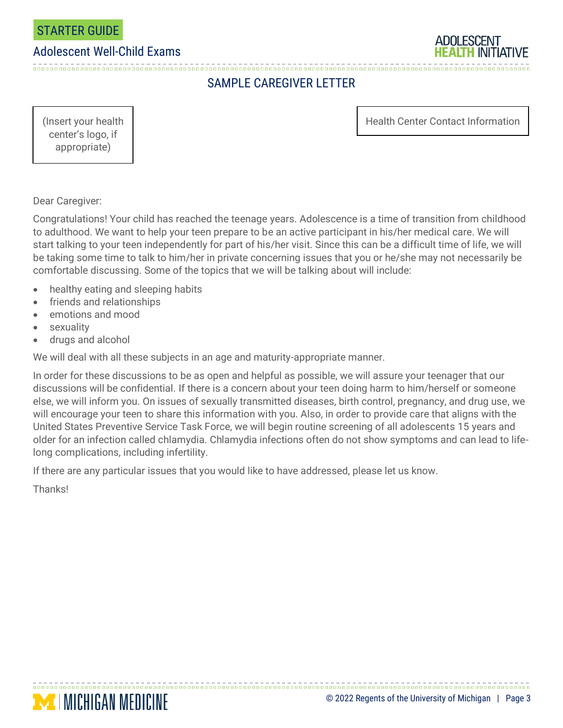

#### Adolescent Well-Child Exams



# SAMPLE CAREGIVER LETTER

(Insert your health Health Center Contact Information

center's logo, if appropriate)

Dear Caregiver:

Congratulations! Your child has reached the teenage years. Adolescence is a time of transition from childhood to adulthood. We want to help your teen prepare to be an active participant in his/her medical care. We will start talking to your teen independently for part of his/her visit. Since this can be a difficult time of life, we will be taking some time to talk to him/her in private concerning issues that you or he/she may not necessarily be comfortable discussing. Some of the topics that we will be talking about will include:

- healthy eating and sleeping habits
- friends and relationships

**MINICHIGAN MEDICINE** 

- emotions and mood
- **sexuality**
- drugs and alcohol

We will deal with all these subjects in an age and maturity-appropriate manner.

In order for these discussions to be as open and helpful as possible, we will assure your teenager that our discussions will be confidential. If there is a concern about your teen doing harm to him/herself or someone else, we will inform you. On issues of sexually transmitted diseases, birth control, pregnancy, and drug use, we will encourage your teen to share this information with you. Also, in order to provide care that aligns with the United States Preventive Service Task Force, we will begin routine screening of all adolescents 15 years and older for an infection called chlamydia. Chlamydia infections often do not show symptoms and can lead to lifelong complications, including infertility.

If there are any particular issues that you would like to have addressed, please let us know.

Thanks!